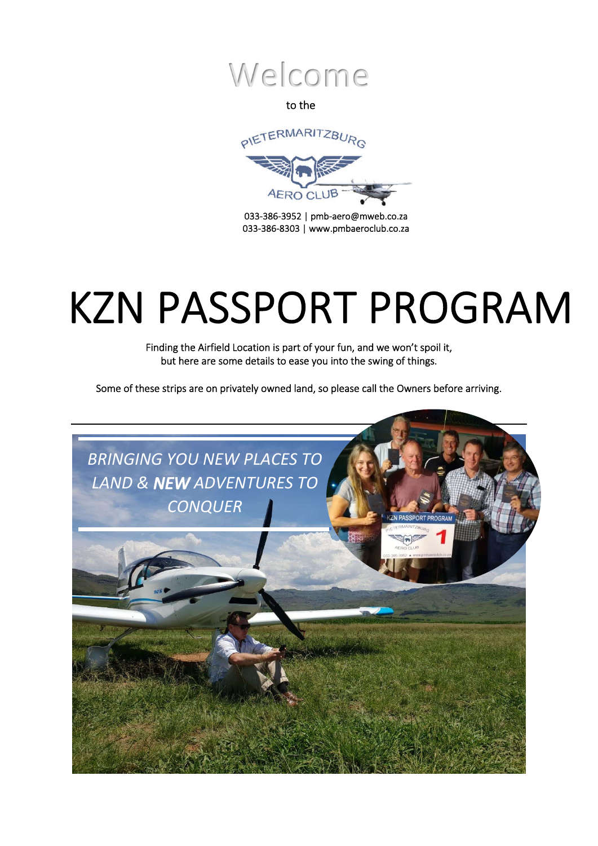

to the



 033-386-3952 | pmb-aero@mweb.co.za 033-386-8303 | www.pmbaeroclub.co.za

# í l KZN PASSPORT PROGRAM

Finding the Airfield Location is part of your fun, and we won't spoil it, but here are some details to ease you into the swing of things.

Some of these strips are on privately owned land, so please call the Owners before arriving.

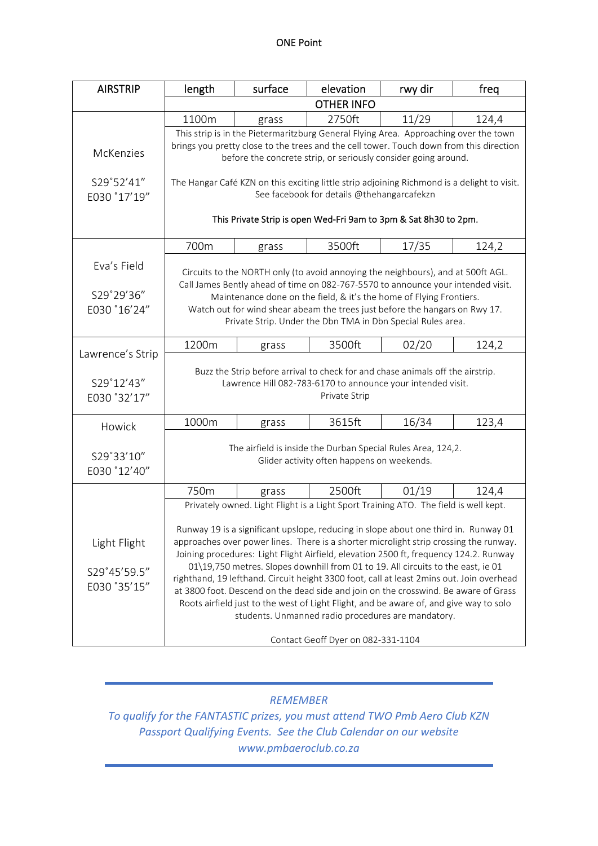| <b>AIRSTRIP</b>  | length                                                                                                                                                                                                                                                                                                                                                    | surface | elevation                                                                                | rwy dir | freg  |  |  |
|------------------|-----------------------------------------------------------------------------------------------------------------------------------------------------------------------------------------------------------------------------------------------------------------------------------------------------------------------------------------------------------|---------|------------------------------------------------------------------------------------------|---------|-------|--|--|
|                  | <b>OTHER INFO</b>                                                                                                                                                                                                                                                                                                                                         |         |                                                                                          |         |       |  |  |
|                  | 1100m                                                                                                                                                                                                                                                                                                                                                     | grass   | 2750ft                                                                                   | 11/29   | 124,4 |  |  |
|                  |                                                                                                                                                                                                                                                                                                                                                           |         | This strip is in the Pietermaritzburg General Flying Area. Approaching over the town     |         |       |  |  |
| <b>McKenzies</b> | brings you pretty close to the trees and the cell tower. Touch down from this direction<br>before the concrete strip, or seriously consider going around.                                                                                                                                                                                                 |         |                                                                                          |         |       |  |  |
|                  |                                                                                                                                                                                                                                                                                                                                                           |         |                                                                                          |         |       |  |  |
| S29°52'41"       |                                                                                                                                                                                                                                                                                                                                                           |         |                                                                                          |         |       |  |  |
| E030 °17'19"     | The Hangar Café KZN on this exciting little strip adjoining Richmond is a delight to visit.<br>See facebook for details @thehangarcafekzn                                                                                                                                                                                                                 |         |                                                                                          |         |       |  |  |
|                  |                                                                                                                                                                                                                                                                                                                                                           |         |                                                                                          |         |       |  |  |
|                  | This Private Strip is open Wed-Fri 9am to 3pm & Sat 8h30 to 2pm.                                                                                                                                                                                                                                                                                          |         |                                                                                          |         |       |  |  |
|                  |                                                                                                                                                                                                                                                                                                                                                           |         |                                                                                          |         |       |  |  |
|                  | 700m                                                                                                                                                                                                                                                                                                                                                      | grass   | 3500ft                                                                                   | 17/35   | 124,2 |  |  |
| Eva's Field      |                                                                                                                                                                                                                                                                                                                                                           |         | Circuits to the NORTH only (to avoid annoying the neighbours), and at 500ft AGL.         |         |       |  |  |
|                  |                                                                                                                                                                                                                                                                                                                                                           |         | Call James Bently ahead of time on 082-767-5570 to announce your intended visit.         |         |       |  |  |
| S29°29'36"       |                                                                                                                                                                                                                                                                                                                                                           |         | Maintenance done on the field, & it's the home of Flying Frontiers.                      |         |       |  |  |
| E030 °16'24"     |                                                                                                                                                                                                                                                                                                                                                           |         | Watch out for wind shear abeam the trees just before the hangars on Rwy 17.              |         |       |  |  |
|                  | Private Strip. Under the Dbn TMA in Dbn Special Rules area.                                                                                                                                                                                                                                                                                               |         |                                                                                          |         |       |  |  |
|                  | 1200m                                                                                                                                                                                                                                                                                                                                                     | grass   | 3500ft                                                                                   | 02/20   | 124,2 |  |  |
| Lawrence's Strip |                                                                                                                                                                                                                                                                                                                                                           |         |                                                                                          |         |       |  |  |
|                  |                                                                                                                                                                                                                                                                                                                                                           |         | Buzz the Strip before arrival to check for and chase animals off the airstrip.           |         |       |  |  |
| S29°12'43"       | Lawrence Hill 082-783-6170 to announce your intended visit.                                                                                                                                                                                                                                                                                               |         |                                                                                          |         |       |  |  |
| E030 '32'17"     | Private Strip                                                                                                                                                                                                                                                                                                                                             |         |                                                                                          |         |       |  |  |
|                  | 1000m                                                                                                                                                                                                                                                                                                                                                     | grass   | 3615ft                                                                                   | 16/34   | 123,4 |  |  |
| Howick           |                                                                                                                                                                                                                                                                                                                                                           |         |                                                                                          |         |       |  |  |
|                  | The airfield is inside the Durban Special Rules Area, 124,2.                                                                                                                                                                                                                                                                                              |         |                                                                                          |         |       |  |  |
| S29°33'10"       | Glider activity often happens on weekends.                                                                                                                                                                                                                                                                                                                |         |                                                                                          |         |       |  |  |
| E030 °12'40"     |                                                                                                                                                                                                                                                                                                                                                           |         |                                                                                          |         |       |  |  |
|                  | 750m                                                                                                                                                                                                                                                                                                                                                      | grass   | 2500ft                                                                                   | 01/19   | 124,4 |  |  |
|                  | Privately owned. Light Flight is a Light Sport Training ATO. The field is well kept.                                                                                                                                                                                                                                                                      |         |                                                                                          |         |       |  |  |
|                  |                                                                                                                                                                                                                                                                                                                                                           |         |                                                                                          |         |       |  |  |
| Light Flight     | Runway 19 is a significant upslope, reducing in slope about one third in. Runway 01<br>approaches over power lines. There is a shorter microlight strip crossing the runway.<br>Joining procedures: Light Flight Airfield, elevation 2500 ft, frequency 124.2. Runway<br>01\19,750 metres. Slopes downhill from 01 to 19. All circuits to the east, ie 01 |         |                                                                                          |         |       |  |  |
|                  |                                                                                                                                                                                                                                                                                                                                                           |         |                                                                                          |         |       |  |  |
| S29°45'59.5"     |                                                                                                                                                                                                                                                                                                                                                           |         |                                                                                          |         |       |  |  |
| E030 '35'15"     |                                                                                                                                                                                                                                                                                                                                                           |         | righthand, 19 lefthand. Circuit height 3300 foot, call at least 2mins out. Join overhead |         |       |  |  |
|                  | at 3800 foot. Descend on the dead side and join on the crosswind. Be aware of Grass<br>Roots airfield just to the west of Light Flight, and be aware of, and give way to solo<br>students. Unmanned radio procedures are mandatory.                                                                                                                       |         |                                                                                          |         |       |  |  |
|                  |                                                                                                                                                                                                                                                                                                                                                           |         |                                                                                          |         |       |  |  |
|                  |                                                                                                                                                                                                                                                                                                                                                           |         |                                                                                          |         |       |  |  |
|                  | Contact Geoff Dyer on 082-331-1104                                                                                                                                                                                                                                                                                                                        |         |                                                                                          |         |       |  |  |

## *REMEMBER*

*To qualify for the FANTASTIC prizes, you must attend TWO Pmb Aero Club KZN Passport Qualifying Events. See the Club Calendar on our website www.pmbaeroclub.co.za*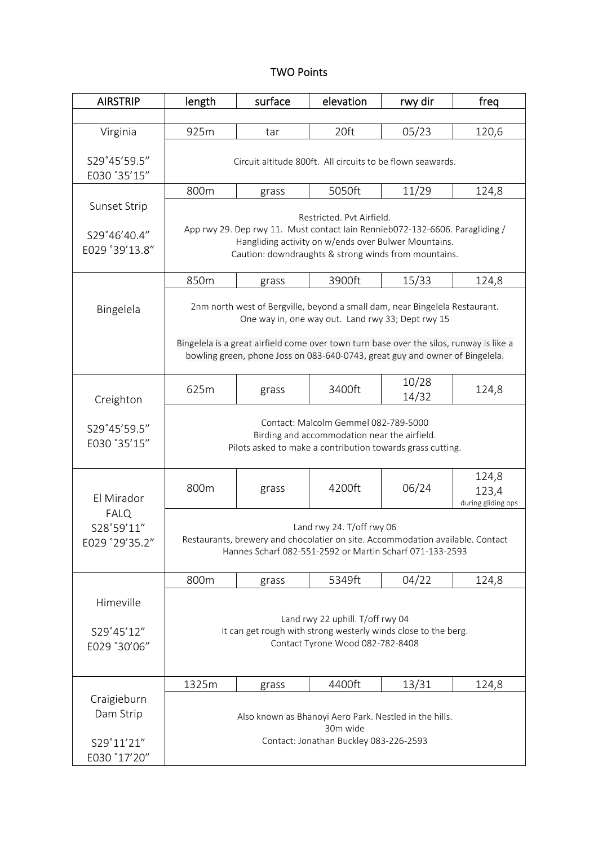#### TWO Points

| <b>AIRSTRIP</b>                                                                                                                                                                    | length                                                                                                                                                                                                                                                                                                      | surface | elevation | rwy dir        | freq                                 |  |
|------------------------------------------------------------------------------------------------------------------------------------------------------------------------------------|-------------------------------------------------------------------------------------------------------------------------------------------------------------------------------------------------------------------------------------------------------------------------------------------------------------|---------|-----------|----------------|--------------------------------------|--|
|                                                                                                                                                                                    |                                                                                                                                                                                                                                                                                                             |         |           |                |                                      |  |
| Virginia                                                                                                                                                                           | 925m                                                                                                                                                                                                                                                                                                        | tar     | 20ft      | 05/23          | 120,6                                |  |
| S29°45'59.5"<br>E030 °35'15"                                                                                                                                                       | Circuit altitude 800ft. All circuits to be flown seawards.                                                                                                                                                                                                                                                  |         |           |                |                                      |  |
|                                                                                                                                                                                    | 800m                                                                                                                                                                                                                                                                                                        | grass   | 5050ft    | 11/29          | 124,8                                |  |
| Sunset Strip<br>S29°46'40.4"<br>E029 °39'13.8"                                                                                                                                     | Restricted. Pvt Airfield.<br>App rwy 29. Dep rwy 11. Must contact Iain Rennieb072-132-6606. Paragliding /<br>Hangliding activity on w/ends over Bulwer Mountains.<br>Caution: downdraughts & strong winds from mountains.                                                                                   |         |           |                |                                      |  |
|                                                                                                                                                                                    | 850m                                                                                                                                                                                                                                                                                                        | grass   | 3900ft    | 15/33          | 124,8                                |  |
| Bingelela                                                                                                                                                                          | 2nm north west of Bergville, beyond a small dam, near Bingelela Restaurant.<br>One way in, one way out. Land rwy 33; Dept rwy 15<br>Bingelela is a great airfield come over town turn base over the silos, runway is like a<br>bowling green, phone Joss on 083-640-0743, great guy and owner of Bingelela. |         |           |                |                                      |  |
| Creighton                                                                                                                                                                          | 625m                                                                                                                                                                                                                                                                                                        | grass   | 3400ft    | 10/28<br>14/32 | 124,8                                |  |
| Contact: Malcolm Gemmel 082-789-5000<br>S29°45'59.5"<br>Birding and accommodation near the airfield.<br>E030 '35'15"<br>Pilots asked to make a contribution towards grass cutting. |                                                                                                                                                                                                                                                                                                             |         |           |                |                                      |  |
| El Mirador<br><b>FALQ</b><br>S28°59'11"<br>E029 °29'35.2"                                                                                                                          | 800m                                                                                                                                                                                                                                                                                                        | grass   | 4200ft    | 06/24          | 124,8<br>123,4<br>during gliding ops |  |
|                                                                                                                                                                                    | Land rwy 24. T/off rwy 06<br>Restaurants, brewery and chocolatier on site. Accommodation available. Contact<br>Hannes Scharf 082-551-2592 or Martin Scharf 071-133-2593                                                                                                                                     |         |           |                |                                      |  |
|                                                                                                                                                                                    | 800m                                                                                                                                                                                                                                                                                                        | grass   | 5349ft    | 04/22          | 124,8                                |  |
| Himeville<br>S29°45'12"<br>E029 °30'06"                                                                                                                                            | Land rwy 22 uphill. T/off rwy 04<br>It can get rough with strong westerly winds close to the berg.<br>Contact Tyrone Wood 082-782-8408                                                                                                                                                                      |         |           |                |                                      |  |
|                                                                                                                                                                                    | 1325m                                                                                                                                                                                                                                                                                                       | grass   | 4400ft    | 13/31          | 124,8                                |  |
| Craigieburn<br>Dam Strip<br>S29°11'21"<br>E030 °17'20"                                                                                                                             | Also known as Bhanoyi Aero Park. Nestled in the hills.<br>30m wide<br>Contact: Jonathan Buckley 083-226-2593                                                                                                                                                                                                |         |           |                |                                      |  |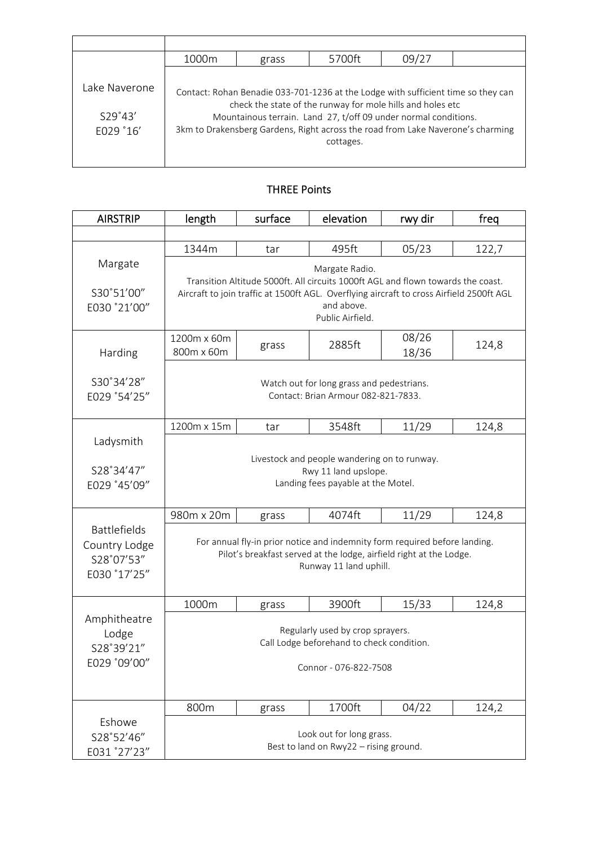|                                        | 1000m | grass | 5700ft                                                                                                                                                                                                                                                                                                             | 09/27 |  |
|----------------------------------------|-------|-------|--------------------------------------------------------------------------------------------------------------------------------------------------------------------------------------------------------------------------------------------------------------------------------------------------------------------|-------|--|
| Lake Naverone.<br>S29°43'<br>E029 °16' |       |       | Contact: Rohan Benadie 033-701-1236 at the Lodge with sufficient time so they can<br>check the state of the runway for mole hills and holes etc<br>Mountainous terrain. Land 27, t/off 09 under normal conditions.<br>3km to Drakensberg Gardens, Right across the road from Lake Naverone's charming<br>cottages. |       |  |

## THREE Points

| <b>AIRSTRIP</b>                                                    | length                                                                                                                                                                                                                           | surface | elevation | rwy dir        | freq  |  |
|--------------------------------------------------------------------|----------------------------------------------------------------------------------------------------------------------------------------------------------------------------------------------------------------------------------|---------|-----------|----------------|-------|--|
|                                                                    |                                                                                                                                                                                                                                  |         |           |                |       |  |
|                                                                    | 1344m                                                                                                                                                                                                                            | tar     | 495ft     | 05/23          | 122,7 |  |
| Margate<br>S30°51'00"<br>E030 °21'00"                              | Margate Radio.<br>Transition Altitude 5000ft. All circuits 1000ft AGL and flown towards the coast.<br>Aircraft to join traffic at 1500ft AGL. Overflying aircraft to cross Airfield 2500ft AGL<br>and above.<br>Public Airfield. |         |           |                |       |  |
| Harding                                                            | 1200m x 60m<br>800m x 60m                                                                                                                                                                                                        | grass   | 2885ft    | 08/26<br>18/36 | 124,8 |  |
| S30°34'28"<br>E029 °54'25"                                         | Watch out for long grass and pedestrians.<br>Contact: Brian Armour 082-821-7833.                                                                                                                                                 |         |           |                |       |  |
|                                                                    | 1200m x 15m                                                                                                                                                                                                                      | tar     | 3548ft    | 11/29          | 124,8 |  |
| Ladysmith<br>S28°34'47"<br>E029 °45'09"                            | Livestock and people wandering on to runway.<br>Rwy 11 land upslope.<br>Landing fees payable at the Motel.<br>4074ft<br>11/29<br>980m x 20m<br>124,8<br>grass                                                                    |         |           |                |       |  |
| <b>Battlefields</b><br>Country Lodge<br>S28°07'53"<br>E030 °17'25" | For annual fly-in prior notice and indemnity form required before landing.<br>Pilot's breakfast served at the lodge, airfield right at the Lodge.<br>Runway 11 land uphill.                                                      |         |           |                |       |  |
|                                                                    | 1000m                                                                                                                                                                                                                            | grass   | 3900ft    | 15/33          | 124,8 |  |
| Amphitheatre<br>Lodge<br>S28°39'21"<br>E029 °09'00"                | Regularly used by crop sprayers.<br>Call Lodge beforehand to check condition.<br>Connor - 076-822-7508                                                                                                                           |         |           |                |       |  |
|                                                                    | 800m                                                                                                                                                                                                                             | grass   | 1700ft    | 04/22          | 124,2 |  |
| Eshowe<br>S28°52'46"<br>E031 °27'23"                               | Look out for long grass.<br>Best to land on Rwy22 - rising ground.                                                                                                                                                               |         |           |                |       |  |